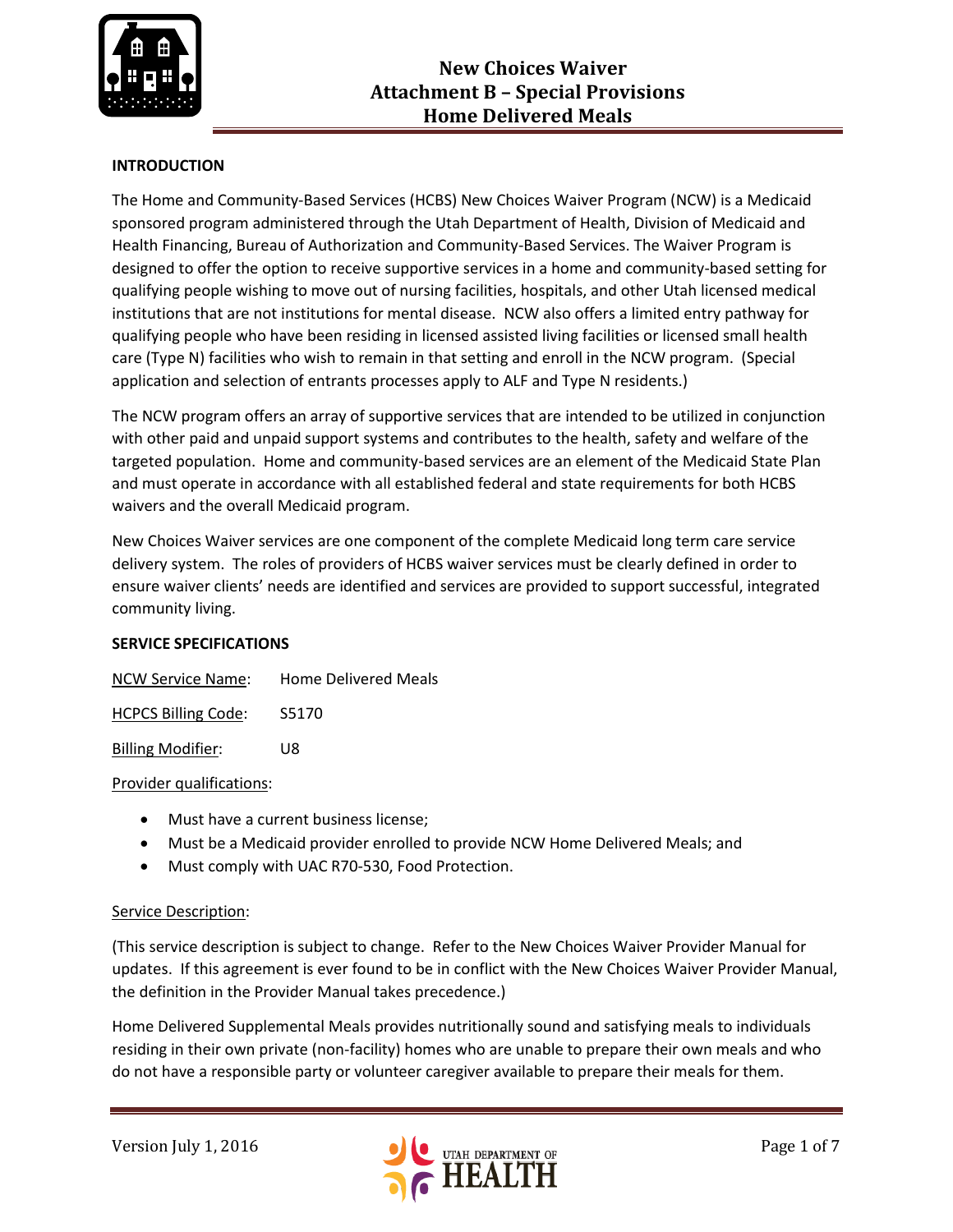

## **INTRODUCTION**

The Home and Community-Based Services (HCBS) New Choices Waiver Program (NCW) is a Medicaid sponsored program administered through the Utah Department of Health, Division of Medicaid and Health Financing, Bureau of Authorization and Community-Based Services. The Waiver Program is designed to offer the option to receive supportive services in a home and community-based setting for qualifying people wishing to move out of nursing facilities, hospitals, and other Utah licensed medical institutions that are not institutions for mental disease. NCW also offers a limited entry pathway for qualifying people who have been residing in licensed assisted living facilities or licensed small health care (Type N) facilities who wish to remain in that setting and enroll in the NCW program. (Special application and selection of entrants processes apply to ALF and Type N residents.)

The NCW program offers an array of supportive services that are intended to be utilized in conjunction with other paid and unpaid support systems and contributes to the health, safety and welfare of the targeted population. Home and community-based services are an element of the Medicaid State Plan and must operate in accordance with all established federal and state requirements for both HCBS waivers and the overall Medicaid program.

New Choices Waiver services are one component of the complete Medicaid long term care service delivery system. The roles of providers of HCBS waiver services must be clearly defined in order to ensure waiver clients' needs are identified and services are provided to support successful, integrated community living.

### **SERVICE SPECIFICATIONS**

| <b>NCW Service Name:</b>   | <b>Home Delivered Meals</b> |
|----------------------------|-----------------------------|
| <b>HCPCS Billing Code:</b> | S5170                       |

Billing Modifier: U8

### Provider qualifications:

- Must have a current business license;
- Must be a Medicaid provider enrolled to provide NCW Home Delivered Meals; and
- Must comply with UAC R70-530, Food Protection.

### Service Description:

(This service description is subject to change. Refer to the New Choices Waiver Provider Manual for updates. If this agreement is ever found to be in conflict with the New Choices Waiver Provider Manual, the definition in the Provider Manual takes precedence.)

Home Delivered Supplemental Meals provides nutritionally sound and satisfying meals to individuals residing in their own private (non-facility) homes who are unable to prepare their own meals and who do not have a responsible party or volunteer caregiver available to prepare their meals for them.

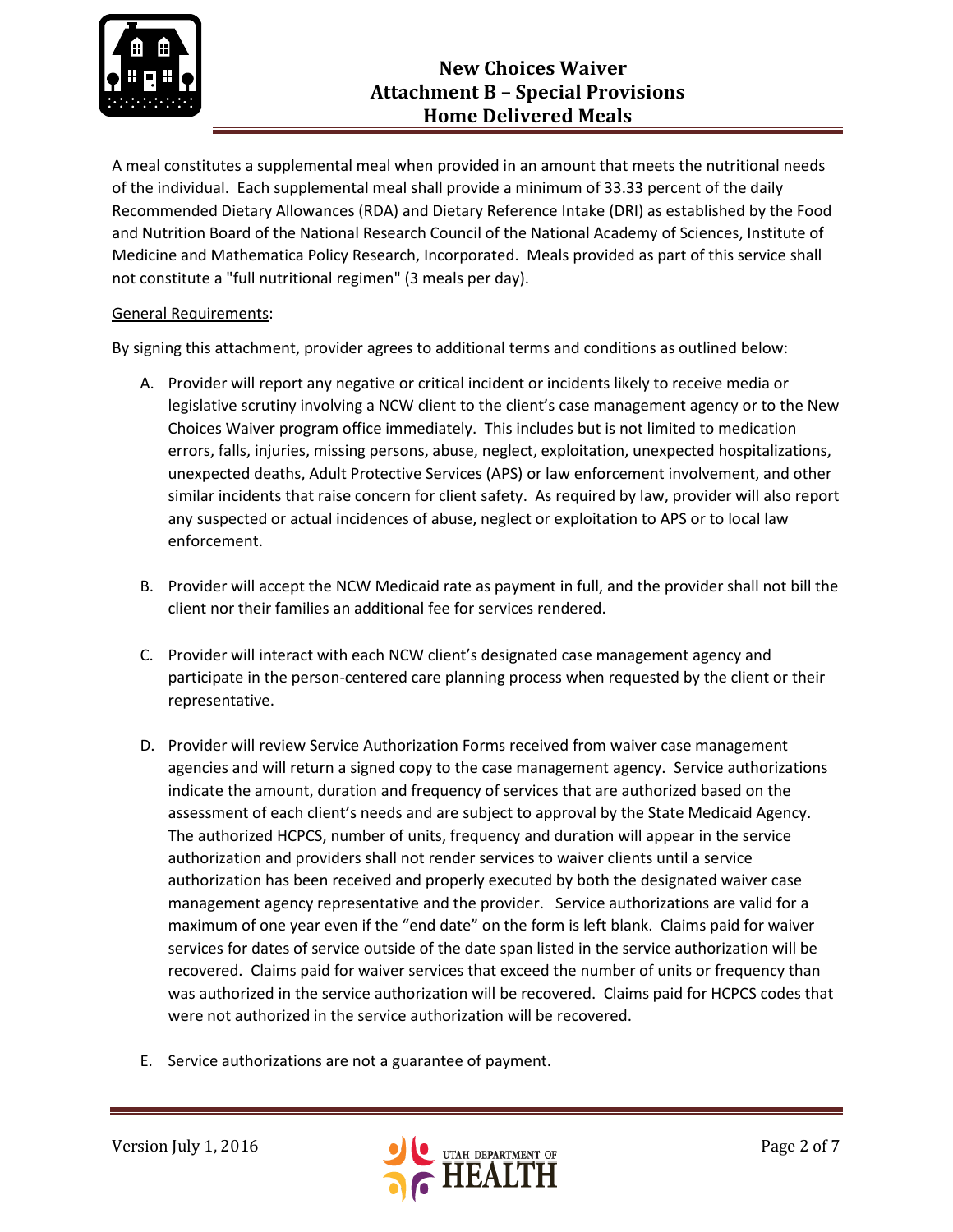

## **New Choices Waiver Attachment B – Special Provisions Home Delivered Meals**

A meal constitutes a supplemental meal when provided in an amount that meets the nutritional needs of the individual. Each supplemental meal shall provide a minimum of 33.33 percent of the daily Recommended Dietary Allowances (RDA) and Dietary Reference Intake (DRI) as established by the Food and Nutrition Board of the National Research Council of the National Academy of Sciences, Institute of Medicine and Mathematica Policy Research, Incorporated. Meals provided as part of this service shall not constitute a "full nutritional regimen" (3 meals per day).

## General Requirements:

By signing this attachment, provider agrees to additional terms and conditions as outlined below:

- A. Provider will report any negative or critical incident or incidents likely to receive media or legislative scrutiny involving a NCW client to the client's case management agency or to the New Choices Waiver program office immediately. This includes but is not limited to medication errors, falls, injuries, missing persons, abuse, neglect, exploitation, unexpected hospitalizations, unexpected deaths, Adult Protective Services (APS) or law enforcement involvement, and other similar incidents that raise concern for client safety. As required by law, provider will also report any suspected or actual incidences of abuse, neglect or exploitation to APS or to local law enforcement.
- B. Provider will accept the NCW Medicaid rate as payment in full, and the provider shall not bill the client nor their families an additional fee for services rendered.
- C. Provider will interact with each NCW client's designated case management agency and participate in the person-centered care planning process when requested by the client or their representative.
- D. Provider will review Service Authorization Forms received from waiver case management agencies and will return a signed copy to the case management agency. Service authorizations indicate the amount, duration and frequency of services that are authorized based on the assessment of each client's needs and are subject to approval by the State Medicaid Agency. The authorized HCPCS, number of units, frequency and duration will appear in the service authorization and providers shall not render services to waiver clients until a service authorization has been received and properly executed by both the designated waiver case management agency representative and the provider. Service authorizations are valid for a maximum of one year even if the "end date" on the form is left blank. Claims paid for waiver services for dates of service outside of the date span listed in the service authorization will be recovered. Claims paid for waiver services that exceed the number of units or frequency than was authorized in the service authorization will be recovered. Claims paid for HCPCS codes that were not authorized in the service authorization will be recovered.
- E. Service authorizations are not a guarantee of payment.

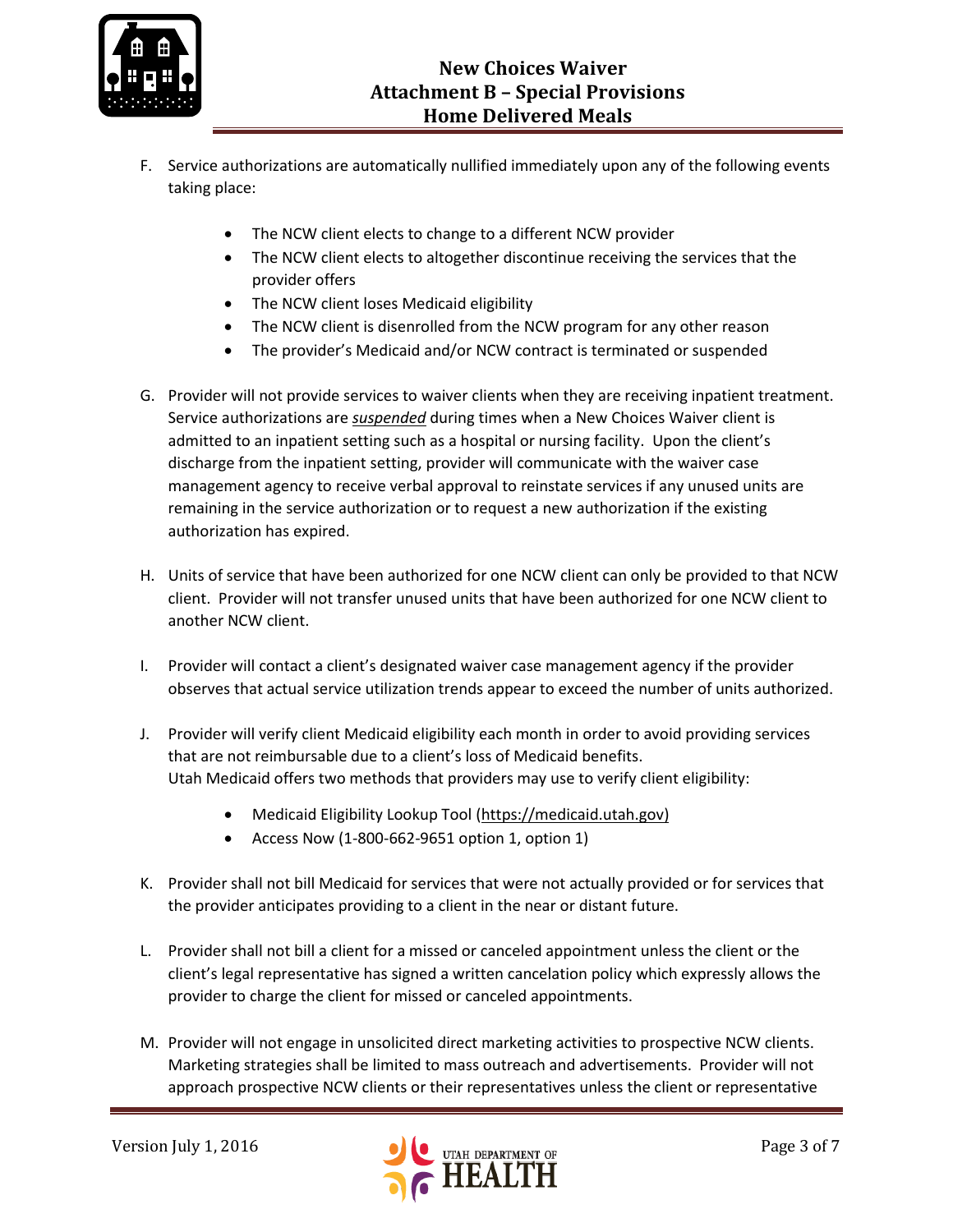

- F. Service authorizations are automatically nullified immediately upon any of the following events taking place:
	- The NCW client elects to change to a different NCW provider
	- The NCW client elects to altogether discontinue receiving the services that the provider offers
	- The NCW client loses Medicaid eligibility
	- The NCW client is disenrolled from the NCW program for any other reason
	- The provider's Medicaid and/or NCW contract is terminated or suspended
- G. Provider will not provide services to waiver clients when they are receiving inpatient treatment. Service authorizations are *suspended* during times when a New Choices Waiver client is admitted to an inpatient setting such as a hospital or nursing facility. Upon the client's discharge from the inpatient setting, provider will communicate with the waiver case management agency to receive verbal approval to reinstate services if any unused units are remaining in the service authorization or to request a new authorization if the existing authorization has expired.
- H. Units of service that have been authorized for one NCW client can only be provided to that NCW client. Provider will not transfer unused units that have been authorized for one NCW client to another NCW client.
- I. Provider will contact a client's designated waiver case management agency if the provider observes that actual service utilization trends appear to exceed the number of units authorized.
- J. Provider will verify client Medicaid eligibility each month in order to avoid providing services that are not reimbursable due to a client's loss of Medicaid benefits. Utah Medicaid offers two methods that providers may use to verify client eligibility:
	- Medicaid Eligibility Lookup Tool [\(https://medicaid.utah.gov\)](https://medicaid.utah.gov/)
	- Access Now (1-800-662-9651 option 1, option 1)
- K. Provider shall not bill Medicaid for services that were not actually provided or for services that the provider anticipates providing to a client in the near or distant future.
- L. Provider shall not bill a client for a missed or canceled appointment unless the client or the client's legal representative has signed a written cancelation policy which expressly allows the provider to charge the client for missed or canceled appointments.
- M. Provider will not engage in unsolicited direct marketing activities to prospective NCW clients. Marketing strategies shall be limited to mass outreach and advertisements. Provider will not approach prospective NCW clients or their representatives unless the client or representative

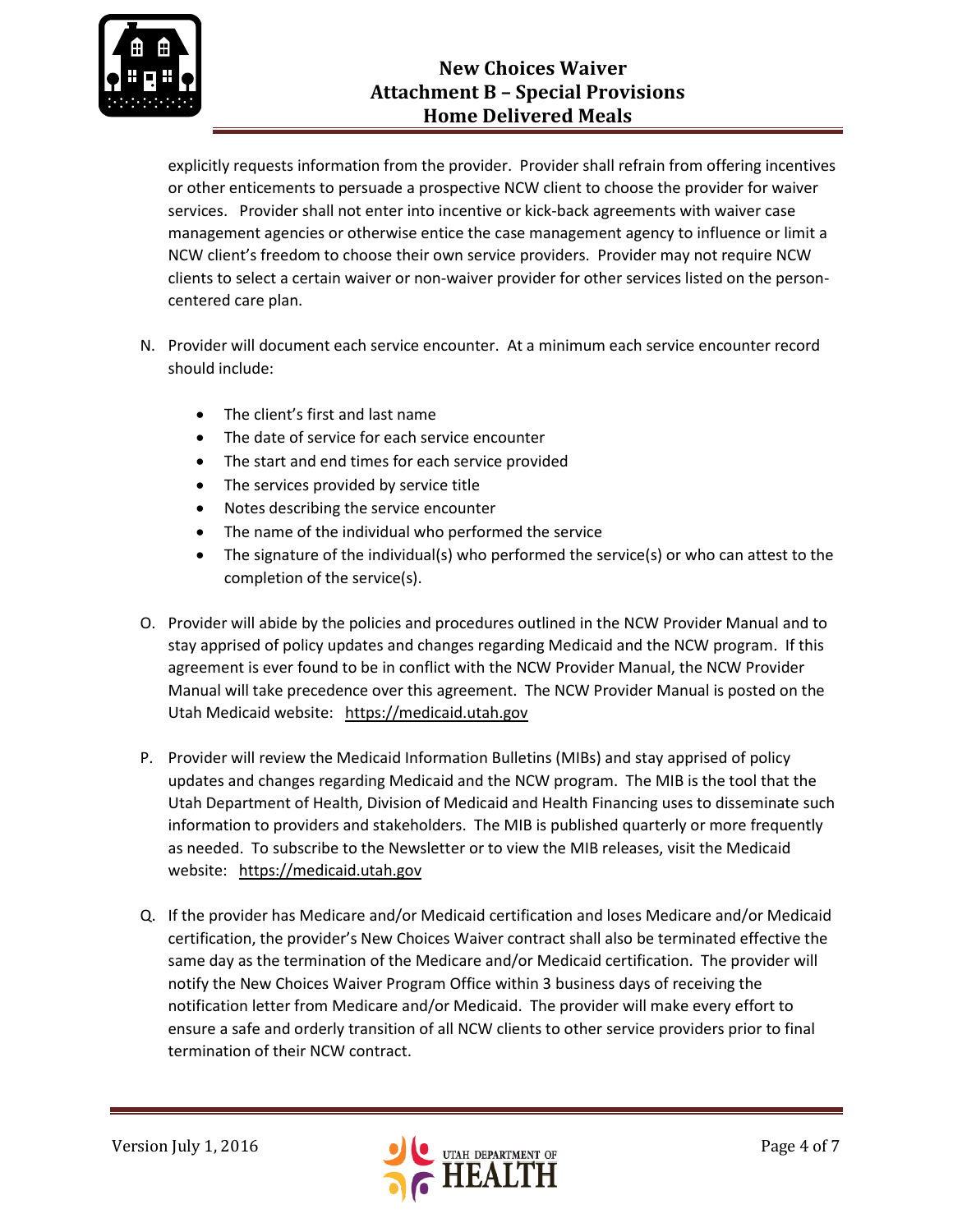

# **New Choices Waiver Attachment B – Special Provisions Home Delivered Meals**

explicitly requests information from the provider. Provider shall refrain from offering incentives or other enticements to persuade a prospective NCW client to choose the provider for waiver services. Provider shall not enter into incentive or kick-back agreements with waiver case management agencies or otherwise entice the case management agency to influence or limit a NCW client's freedom to choose their own service providers. Provider may not require NCW clients to select a certain waiver or non-waiver provider for other services listed on the personcentered care plan.

- N. Provider will document each service encounter. At a minimum each service encounter record should include:
	- The client's first and last name
	- The date of service for each service encounter
	- The start and end times for each service provided
	- The services provided by service title
	- Notes describing the service encounter
	- The name of the individual who performed the service
	- The signature of the individual(s) who performed the service(s) or who can attest to the completion of the service(s).
- O. Provider will abide by the policies and procedures outlined in the NCW Provider Manual and to stay apprised of policy updates and changes regarding Medicaid and the NCW program. If this agreement is ever found to be in conflict with the NCW Provider Manual, the NCW Provider Manual will take precedence over this agreement. The NCW Provider Manual is posted on the Utah Medicaid website: [https://medicaid.utah.gov](https://medicaid.utah.gov/)
- P. Provider will review the Medicaid Information Bulletins (MIBs) and stay apprised of policy updates and changes regarding Medicaid and the NCW program. The MIB is the tool that the Utah Department of Health, Division of Medicaid and Health Financing uses to disseminate such information to providers and stakeholders. The MIB is published quarterly or more frequently as needed. To subscribe to the Newsletter or to view the MIB releases, visit the Medicaid website: [https://medicaid.utah.gov](https://medicaid.utah.gov/)
- Q. If the provider has Medicare and/or Medicaid certification and loses Medicare and/or Medicaid certification, the provider's New Choices Waiver contract shall also be terminated effective the same day as the termination of the Medicare and/or Medicaid certification. The provider will notify the New Choices Waiver Program Office within 3 business days of receiving the notification letter from Medicare and/or Medicaid. The provider will make every effort to ensure a safe and orderly transition of all NCW clients to other service providers prior to final termination of their NCW contract.

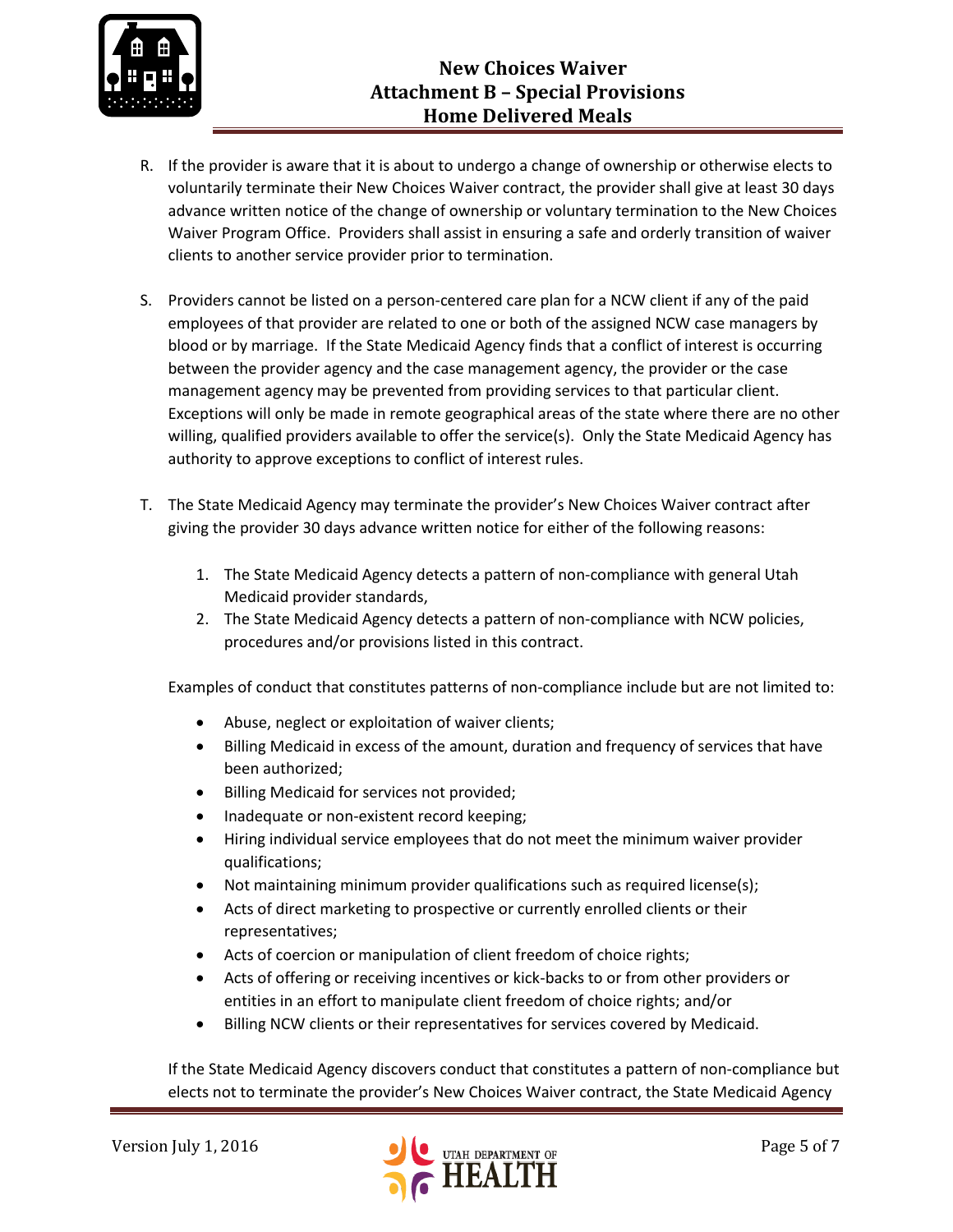

- R. If the provider is aware that it is about to undergo a change of ownership or otherwise elects to voluntarily terminate their New Choices Waiver contract, the provider shall give at least 30 days advance written notice of the change of ownership or voluntary termination to the New Choices Waiver Program Office. Providers shall assist in ensuring a safe and orderly transition of waiver clients to another service provider prior to termination.
- S. Providers cannot be listed on a person-centered care plan for a NCW client if any of the paid employees of that provider are related to one or both of the assigned NCW case managers by blood or by marriage. If the State Medicaid Agency finds that a conflict of interest is occurring between the provider agency and the case management agency, the provider or the case management agency may be prevented from providing services to that particular client. Exceptions will only be made in remote geographical areas of the state where there are no other willing, qualified providers available to offer the service(s). Only the State Medicaid Agency has authority to approve exceptions to conflict of interest rules.
- T. The State Medicaid Agency may terminate the provider's New Choices Waiver contract after giving the provider 30 days advance written notice for either of the following reasons:
	- 1. The State Medicaid Agency detects a pattern of non-compliance with general Utah Medicaid provider standards,
	- 2. The State Medicaid Agency detects a pattern of non-compliance with NCW policies, procedures and/or provisions listed in this contract.

Examples of conduct that constitutes patterns of non-compliance include but are not limited to:

- Abuse, neglect or exploitation of waiver clients;
- Billing Medicaid in excess of the amount, duration and frequency of services that have been authorized;
- Billing Medicaid for services not provided;
- Inadequate or non-existent record keeping;
- Hiring individual service employees that do not meet the minimum waiver provider qualifications;
- Not maintaining minimum provider qualifications such as required license(s);
- Acts of direct marketing to prospective or currently enrolled clients or their representatives;
- Acts of coercion or manipulation of client freedom of choice rights;
- Acts of offering or receiving incentives or kick-backs to or from other providers or entities in an effort to manipulate client freedom of choice rights; and/or
- Billing NCW clients or their representatives for services covered by Medicaid.

If the State Medicaid Agency discovers conduct that constitutes a pattern of non-compliance but elects not to terminate the provider's New Choices Waiver contract, the State Medicaid Agency

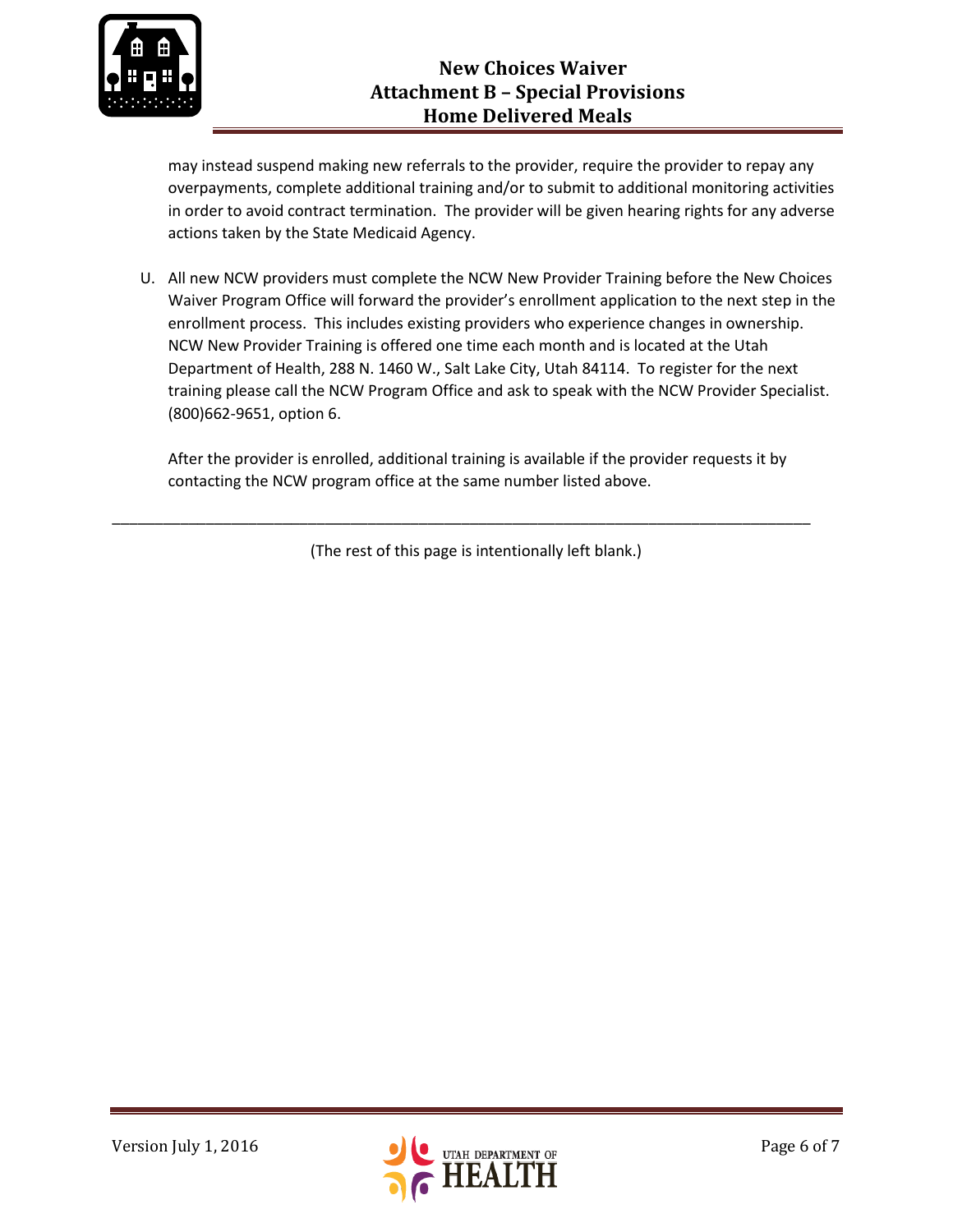

may instead suspend making new referrals to the provider, require the provider to repay any overpayments, complete additional training and/or to submit to additional monitoring activities in order to avoid contract termination. The provider will be given hearing rights for any adverse actions taken by the State Medicaid Agency.

U. All new NCW providers must complete the NCW New Provider Training before the New Choices Waiver Program Office will forward the provider's enrollment application to the next step in the enrollment process. This includes existing providers who experience changes in ownership. NCW New Provider Training is offered one time each month and is located at the Utah Department of Health, 288 N. 1460 W., Salt Lake City, Utah 84114. To register for the next training please call the NCW Program Office and ask to speak with the NCW Provider Specialist. (800)662-9651, option 6.

After the provider is enrolled, additional training is available if the provider requests it by contacting the NCW program office at the same number listed above.

(The rest of this page is intentionally left blank.)

\_\_\_\_\_\_\_\_\_\_\_\_\_\_\_\_\_\_\_\_\_\_\_\_\_\_\_\_\_\_\_\_\_\_\_\_\_\_\_\_\_\_\_\_\_\_\_\_\_\_\_\_\_\_\_\_\_\_\_\_\_\_\_\_\_\_\_\_\_\_\_\_\_\_\_\_\_\_\_\_\_\_